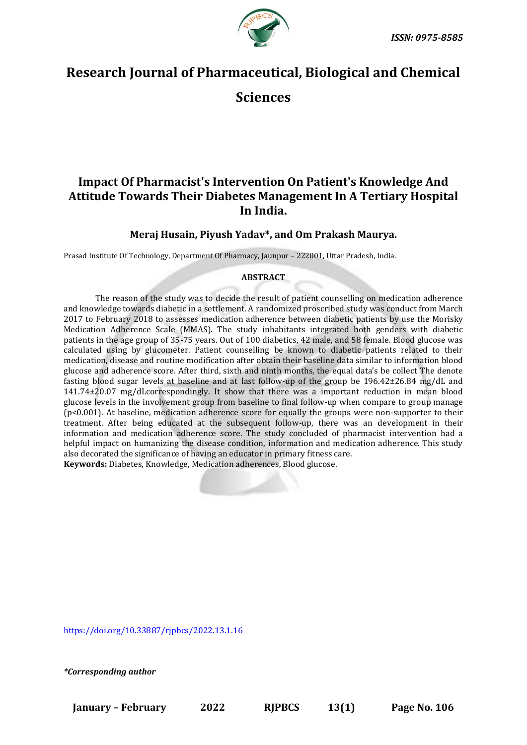

# **Research Journal of Pharmaceutical, Biological and Chemical**

**Sciences**

# **Impact Of Pharmacist's Intervention On Patient's Knowledge And Attitude Towards Their Diabetes Management In A Tertiary Hospital In India.**

# **Meraj Husain, Piyush Yadav\*, and Om Prakash Maurya.**

Prasad Institute Of Technology, Department Of Pharmacy, Jaunpur – 222001, Uttar Pradesh, India.

# **ABSTRACT**

The reason of the study was to decide the result of patient counselling on medication adherence and knowledge towards diabetic in a settlement. A randomized proscribed study was conduct from March 2017 to February 2018 to assesses medication adherence between diabetic patients by use the Morisky Medication Adherence Scale (MMAS). The study inhabitants integrated both genders with diabetic patients in the age group of 35-75 years. Out of 100 diabetics, 42 male, and 58 female. Blood glucose was calculated using by glucometer. Patient counselling be known to diabetic patients related to their medication, disease and routine modification after obtain their baseline data similar to information blood glucose and adherence score. After third, sixth and ninth months, the equal data's be collect The denote fasting blood sugar levels at baseline and at last follow-up of the group be  $196.42\pm26.84$  mg/dL and 141.74±20.07 mg/dLcorrespondingly. It show that there was a important reduction in mean blood glucose levels in the involvement group from baseline to final follow‑up when compare to group manage (p<0.001). At baseline, medication adherence score for equally the groups were non-supporter to their treatment. After being educated at the subsequent follow‑up, there was an development in their information and medication adherence score. The study concluded of pharmacist intervention had a helpful impact on humanizing the disease condition, information and medication adherence. This study also decorated the significance of having an educator in primary fitness care. **Keywords:** Diabetes, Knowledge, Medication adherences, Blood glucose.

[https://doi.org/10.33887/rjpbcs/2022.13.1.16](https://doi.org/10.33887/rjpbcs/2022.13.1.1)

*\*Corresponding author*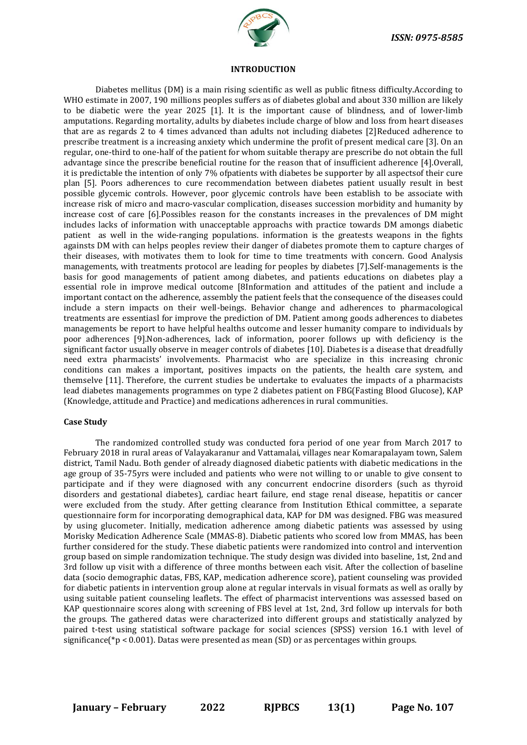

#### **INTRODUCTION**

Diabetes mellitus (DM) is a main rising scientific as well as public fitness difficulty.According to WHO estimate in 2007, 190 millions peoples suffers as of diabetes global and about 330 million are likely to be diabetic were the year 2025 [1]. It is the important cause of blindness, and of lower-limb amputations. Regarding mortality, adults by diabetes include charge of blow and loss from heart diseases that are as regards 2 to 4 times advanced than adults not including diabetes [2]Reduced adherence to prescribe treatment is a increasing anxiety which undermine the profit of present medical care [3]. On an regular, one-third to one-half of the patient for whom suitable therapy are prescribe do not obtain the full advantage since the prescribe beneficial routine for the reason that of insufficient adherence [4].Overall, it is predictable the intention of only 7% ofpatients with diabetes be supporter by all aspectsof their cure plan [5]. Poors adherences to cure recommendation between diabetes patient usually result in best possible glycemic controls. However, poor glycemic controls have been establish to be associate with increase risk of micro and macro-vascular complication, diseases succession morbidity and humanity by increase cost of care [6].Possibles reason for the constants increases in the prevalences of DM might includes lacks of information with unacceptable approachs with practice towards DM amongs diabetic patient as well in the wide-ranging populations. information is the greatests weapons in the fights againsts DM with can helps peoples review their danger of diabetes promote them to capture charges of their diseases, with motivates them to look for time to time treatments with concern. Good Analysis managements, with treatments protocol are leading for peoples by diabetes [7].Self-managements is the basis for good managements of patient among diabetes, and patients educations on diabetes play a essential role in improve medical outcome [8Information and attitudes of the patient and include a important contact on the adherence, assembly the patient feels that the consequence of the diseases could include a stern impacts on their well-beings. Behavior change and adherences to pharmacological treatments are essentiasl for improve the prediction of DM. Patient among goods adherences to diabetes managements be report to have helpful healths outcome and lesser humanity compare to individuals by poor adherences [9].Non-adherences, lack of information, poorer follows up with deficiency is the significant factor usually observe in meager controls of diabetes [10]. Diabetes is a disease that dreadfully need extra pharmacists' involvements. Pharmacist who are specialize in this increasing chronic conditions can makes a important, positives impacts on the patients, the health care system, and themselve [11]. Therefore, the current studies be undertake to evaluates the impacts of a pharmacists lead diabetes managements programmes on type 2 diabetes patient on FBG(Fasting Blood Glucose), KAP (Knowledge, attitude and Practice) and medications adherences in rural communities.

#### **Case Study**

The randomized controlled study was conducted fora period of one year from March 2017 to February 2018 in rural areas of Valayakaranur and Vattamalai, villages near Komarapalayam town, Salem district, Tamil Nadu. Both gender of already diagnosed diabetic patients with diabetic medications in the age group of 35-75yrs were included and patients who were not willing to or unable to give consent to participate and if they were diagnosed with any concurrent endocrine disorders (such as thyroid disorders and gestational diabetes), cardiac heart failure, end stage renal disease, hepatitis or cancer were excluded from the study. After getting clearance from Institution Ethical committee, a separate questionnaire form for incorporating demographical data, KAP for DM was designed. FBG was measured by using glucometer. Initially, medication adherence among diabetic patients was assessed by using Morisky Medication Adherence Scale (MMAS-8). Diabetic patients who scored low from MMAS, has been further considered for the study. These diabetic patients were randomized into control and intervention group based on simple randomization technique. The study design was divided into baseline, 1st, 2nd and 3rd follow up visit with a difference of three months between each visit. After the collection of baseline data (socio demographic datas, FBS, KAP, medication adherence score), patient counseling was provided for diabetic patients in intervention group alone at regular intervals in visual formats as well as orally by using suitable patient counseling leaflets. The effect of pharmacist interventions was assessed based on KAP questionnaire scores along with screening of FBS level at 1st, 2nd, 3rd follow up intervals for both the groups. The gathered datas were characterized into different groups and statistically analyzed by paired t-test using statistical software package for social sciences (SPSS) version 16.1 with level of significance( $*p < 0.001$ ). Datas were presented as mean (SD) or as percentages within groups.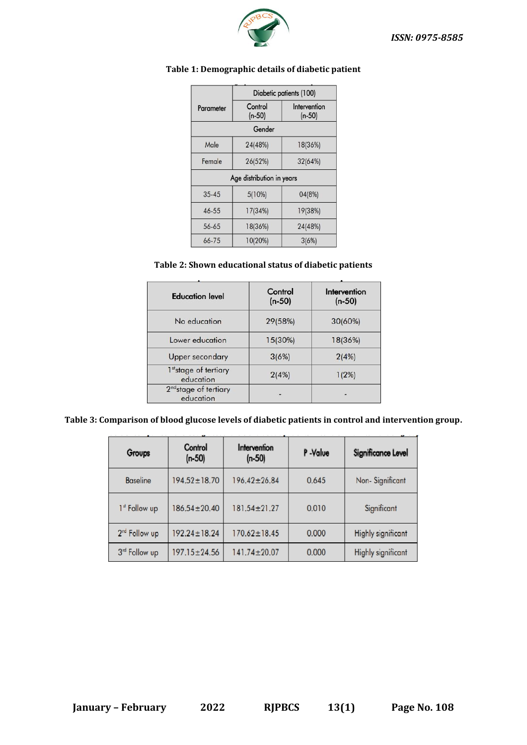

|           | Diabetic patients (100)   |                          |  |
|-----------|---------------------------|--------------------------|--|
| Parameter | Control<br>$(n-50)$       | Intervention<br>$(n-50)$ |  |
|           | Gender                    |                          |  |
| Male      | 24(48%)                   | 18(36%)                  |  |
| Female    | 26(52%)                   | 32(64%)                  |  |
|           | Age distribution in years |                          |  |
| $35 - 45$ | 5(10%)                    | 04(8%)                   |  |
| $46 - 55$ | 17(34%)                   | 19(38%)                  |  |
| 56-65     | 18(36%)                   | 24(48%)                  |  |
| 66-75     | 10(20%)                   | 3(6%)                    |  |

# **Table 1: Demographic details of diabetic patient**

# **Table 2: Shown educational status of diabetic patients**

| <b>Education level</b>                         | Control<br>$(n-50)$ | Intervention<br>$(n-50)$ |
|------------------------------------------------|---------------------|--------------------------|
| No education                                   | 29(58%)             | 30(60%)                  |
| Lower education                                | 15(30%)             | 18(36%)                  |
| <b>Upper secondary</b>                         | 3(6%)               | 2(4%)                    |
| 1stage of tertiary<br>education                | 2(4%)               | $1(2\%)$                 |
| 2 <sup>nd</sup> stage of tertiary<br>education |                     |                          |

#### **Table 3: Comparison of blood glucose levels of diabetic patients in control and intervention group.**

| Groups                    | Control<br>$(n-50)$ | Intervention<br>$(n-50)$ | P-Value | Significance Level        |
|---------------------------|---------------------|--------------------------|---------|---------------------------|
| <b>Baseline</b>           | $194.52 \pm 18.70$  | $196.42 \pm 26.84$       | 0.645   | Non-Significant           |
| 1st Follow up             | $186.54 \pm 20.40$  | $181.54 \pm 21.27$       | 0.010   | Significant               |
| 2 <sup>nd</sup> Follow up | $192.24 \pm 18.24$  | $170.62 \pm 18.45$       | 0.000   | <b>Highly significant</b> |
| 3rd Follow up             | $197.15 \pm 24.56$  | $141.74 \pm 20.07$       | 0.000   | Highly significant        |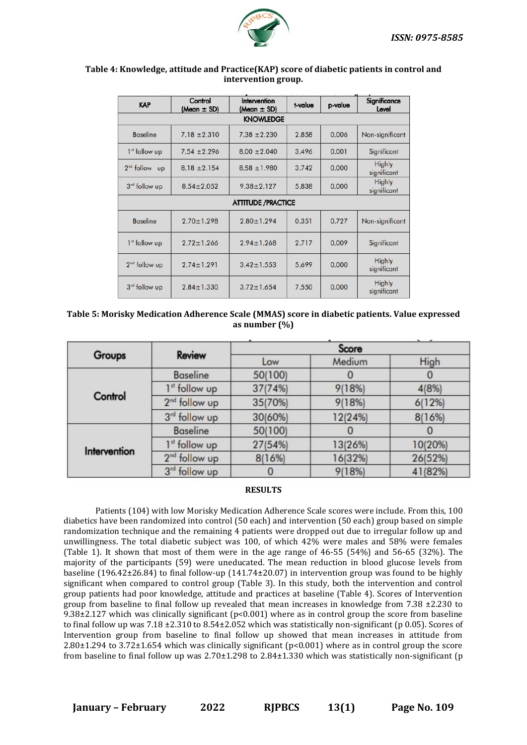

### **Table 4: Knowledge, attitude and Practice(KAP) score of diabetic patients in control and intervention group.**

| <b>KAP</b>                | Control<br>(Mean $\pm$ SD) | Intervention<br>(Mean $\pm$ SD) | t-value | p-value | Significance<br>Level |
|---------------------------|----------------------------|---------------------------------|---------|---------|-----------------------|
|                           |                            | <b>KNOWLEDGE</b>                |         |         |                       |
| <b>Baseline</b>           | $7.18 \pm 2.310$           | $7.38 \pm 2.230$                | 2.858   | 0.006   | Non-significant       |
| 1 <sup>st</sup> follow up | $7.54 \pm 2.296$           | $8.00 \pm 2.040$                | 3.496   | 0.001   | Significant           |
| $2nd$ follow up           | $8.18 \pm 2.154$           | $8.58 \pm 1.980$                | 3.742   | 0.000   | Highly<br>significant |
| 3rd follow up             | $8.54 \pm 2.052$           | $9.38 \pm 2.127$                | 5.838   | 0.000   | Highly<br>significant |
|                           |                            | <b>ATTITUDE / PRACTICE</b>      |         |         |                       |
| <b>Baseline</b>           | $2.70 \pm 1.298$           | $2.80 \pm 1.294$                | 0.351   | 0.727   | Non-significant       |
| 1 <sup>st</sup> follow up | $2.72 \pm 1.266$           | $2.94 \pm 1.268$                | 2.717   | 0.009   | Significant           |
| 2 <sup>nd</sup> follow up | $2.74 \pm 1.291$           | $3.42 \pm 1.553$                | 5.699   | 0.000   | Highly<br>significant |
| 3rd follow up             | $2.84 \pm 1.330$           | $3.72 \pm 1.654$                | 7.550   | 0.000   | Highly<br>significant |

### **Table 5: Morisky Medication Adherence Scale (MMAS) score in diabetic patients. Value expressed as number (%)**

| Groups       | <b>Review</b>             | $\cdots$<br>Score |         |         |
|--------------|---------------------------|-------------------|---------|---------|
|              |                           | Low               | Medium  | High    |
| Control      | <b>Baseline</b>           | 50(100)           |         |         |
|              | 1 <sup>st</sup> follow up | 37(74%)           | 9(18%)  | 4(8%)   |
|              | 2 <sup>nd</sup> follow up | 35(70%)           | 9(18%)  | 6(12%)  |
|              | 3 <sup>rd</sup> follow up | 30(60%)           | 12(24%) | 8(16%)  |
| Intervention | <b>Baseline</b>           | 50(100)           |         |         |
|              | 1 <sup>st</sup> follow up | 27(54%)           | 13(26%) | 10(20%) |
|              | 2 <sup>nd</sup> follow up | 8(16%)            | 16(32%) | 26(52%) |
|              | 3rd follow up             | 0                 | 9(18%)  | 41(82%) |

#### **RESULTS**

Patients (104) with low Morisky Medication Adherence Scale scores were include. From this, 100 diabetics have been randomized into control (50 each) and intervention (50 each) group based on simple randomization technique and the remaining 4 patients were dropped out due to irregular follow up and unwillingness. The total diabetic subject was 100, of which 42% were males and 58% were females (Table 1). It shown that most of them were in the age range of 46-55 (54%) and 56-65 (32%). The majority of the participants (59) were uneducated. The mean reduction in blood glucose levels from baseline (196.42±26.84) to final follow-up (141.74±20.07) in intervention group was found to be highly significant when compared to control group (Table 3). In this study, both the intervention and control group patients had poor knowledge, attitude and practices at baseline (Table 4). Scores of Intervention group from baseline to final follow up revealed that mean increases in knowledge from 7.38 ±2.230 to 9.38±2.127 which was clinically significant (p<0.001) where as in control group the score from baseline to final follow up was 7.18 ±2.310 to 8.54±2.052 which was statistically non-significant (p 0.05). Scores of Intervention group from baseline to final follow up showed that mean increases in attitude from 2.80±1.294 to 3.72±1.654 which was clinically significant (p<0.001) where as in control group the score from baseline to final follow up was  $2.70\pm1.298$  to  $2.84\pm1.330$  which was statistically non-significant (p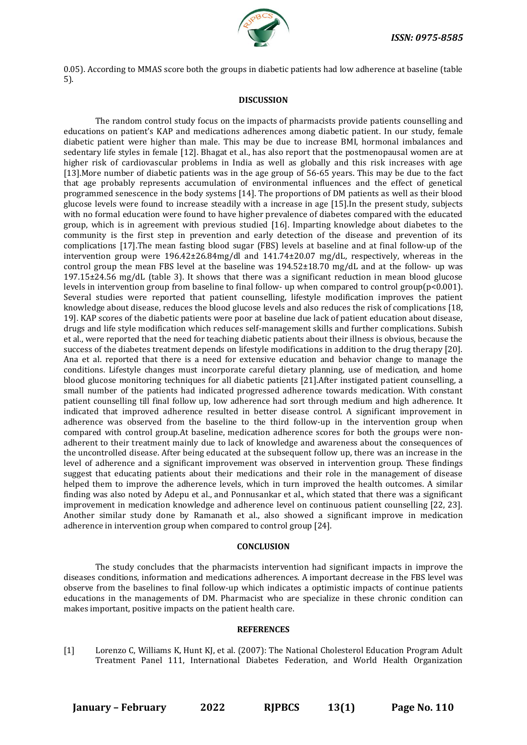

0.05). According to MMAS score both the groups in diabetic patients had low adherence at baseline (table 5).

#### **DISCUSSION**

The random control study focus on the impacts of pharmacists provide patients counselling and educations on patient's KAP and medications adherences among diabetic patient. In our study, female diabetic patient were higher than male. This may be due to increase BMI, hormonal imbalances and sedentary life styles in female [12]. Bhagat et al., has also report that the postmenopausal women are at higher risk of cardiovascular problems in India as well as globally and this risk increases with age [13].More number of diabetic patients was in the age group of 56-65 years. This may be due to the fact that age probably represents accumulation of environmental influences and the effect of genetical programmed senescence in the body systems [14]. The proportions of DM patients as well as their blood glucose levels were found to increase steadily with a increase in age [15].In the present study, subjects with no formal education were found to have higher prevalence of diabetes compared with the educated group, which is in agreement with previous studied [16]. Imparting knowledge about diabetes to the community is the first step in prevention and early detection of the disease and prevention of its complications [17].The mean fasting blood sugar (FBS) levels at baseline and at final follow‑up of the intervention group were 196.42±26.84mg/dl and 141.74±20.07 mg/dL, respectively, whereas in the control group the mean FBS level at the baseline was 194.52±18.70 mg/dL and at the follow- up was  $197.15\pm24.56$  mg/dL (table 3). It shows that there was a significant reduction in mean blood glucose levels in intervention group from baseline to final follow- up when compared to control group(p<0.001). Several studies were reported that patient counselling, lifestyle modification improves the patient knowledge about disease, reduces the blood glucose levels and also reduces the risk of complications [18, 19]. KAP scores of the diabetic patients were poor at baseline due lack of patient education about disease, drugs and life style modification which reduces self-management skills and further complications. Subish et al., were reported that the need for teaching diabetic patients about their illness is obvious, because the success of the diabetes treatment depends on lifestyle modifications in addition to the drug therapy [20]. Ana et al. reported that there is a need for extensive education and behavior change to manage the conditions. Lifestyle changes must incorporate careful dietary planning, use of medication, and home blood glucose monitoring techniques for all diabetic patients [21].After instigated patient counselling, a small number of the patients had indicated progressed adherence towards medication. With constant patient counselling till final follow up, low adherence had sort through medium and high adherence. It indicated that improved adherence resulted in better disease control. A significant improvement in adherence was observed from the baseline to the third follow-up in the intervention group when compared with control group.At baseline, medication adherence scores for both the groups were nonadherent to their treatment mainly due to lack of knowledge and awareness about the consequences of the uncontrolled disease. After being educated at the subsequent follow up, there was an increase in the level of adherence and a significant improvement was observed in intervention group. These findings suggest that educating patients about their medications and their role in the management of disease helped them to improve the adherence levels, which in turn improved the health outcomes. A similar finding was also noted by Adepu et al., and Ponnusankar et al., which stated that there was a significant improvement in medication knowledge and adherence level on continuous patient counselling [22, 23]. Another similar study done by Ramanath et al., also showed a significant improve in medication adherence in intervention group when compared to control group [24].

#### **CONCLUSION**

The study concludes that the pharmacists intervention had significant impacts in improve the diseases conditions, information and medications adherences. A important decrease in the FBS level was observe from the baselines to final follow-up which indicates a optimistic impacts of continue patients educations in the managements of DM. Pharmacist who are specialize in these chronic condition can makes important, positive impacts on the patient health care.

#### **REFERENCES**

[1] Lorenzo C, Williams K, Hunt KJ, et al. (2007): The National Cholesterol Education Program Adult Treatment Panel 111, International Diabetes Federation, and World Health Organization